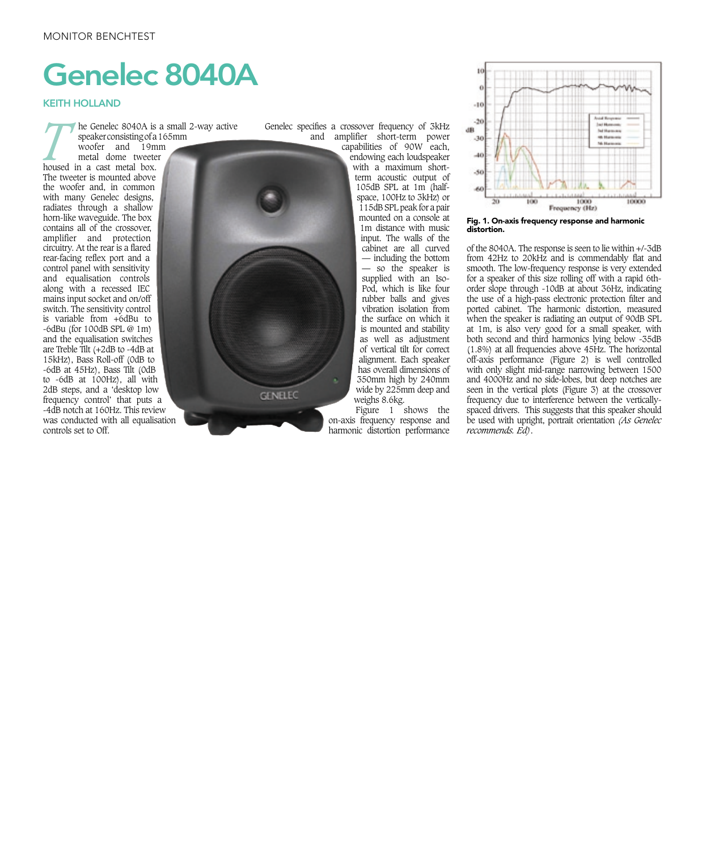## Genelec 8040A

## KEITH HOLLAND

*T* he Genelec 8040A is a small 2-way active speaker consisting of a 165mm

woofer and 19mm metal dome tweeter housed in a cast metal box. The tweeter is mounted above the woofer and, in common with many Genelec designs, radiates through a shallow horn-like waveguide. The box contains all of the crossover, amplifier and protection circuitry. At the rear is a flared rear-facing reflex port and a control panel with sensitivity and equalisation controls along with a recessed IEC mains input socket and on/off switch. The sensitivity control is variable from +6dBu to -6dBu (for 100dB SPL @ 1m) and the equalisation switches are Treble Tilt (+2dB to -4dB at 15kHz), Bass Roll-off (0dB to -6dB at 45Hz), Bass Tilt (0dB to -6dB at 100Hz), all with 2dB steps, and a 'desktop low frequency control' that puts a -4dB notch at 160Hz. This review was conducted with all equalisation controls set to Off.



Genelec specifies a crossover frequency of 3kHz and amplifier short-term power

capabilities of 90W each, endowing each loudspeaker with a maximum shortterm acoustic output of 105dB SPL at 1m (halfspace, 100Hz to 3kHz) or 115dB SPL peak for a pair mounted on a console at 1m distance with music input. The walls of the cabinet are all curved — including the bottom — so the speaker is supplied with an Iso-Pod, which is like four rubber balls and gives vibration isolation from the surface on which it is mounted and stability as well as adjustment of vertical tilt for correct alignment. Each speaker has overall dimensions of 350mm high by 240mm wide by 225mm deep and weighs 8.6kg.

Figure 1 shows the on-axis frequency response and harmonic distortion performance



Fig. 1. On-axis frequency response and harmonic distortion.

of the 8040A. The response is seen to lie within +/-3dB from 42Hz to 20kHz and is commendably flat and smooth. The low-frequency response is very extended for a speaker of this size rolling off with a rapid 6thorder slope through -10dB at about 36Hz, indicating the use of a high-pass electronic protection filter and ported cabinet. The harmonic distortion, measured when the speaker is radiating an output of 90dB SPL at 1m, is also very good for a small speaker, with both second and third harmonics lying below -35dB (1.8%) at all frequencies above 45Hz. The horizontal off-axis performance (Figure 2) is well controlled with only slight mid-range narrowing between 1500 and 4000Hz and no side-lobes, but deep notches are seen in the vertical plots (Figure 3) at the crossover frequency due to interference between the verticallyspaced drivers. This suggests that this speaker should be used with upright, portrait orientation *(As Genelec recommends. Ed)*.